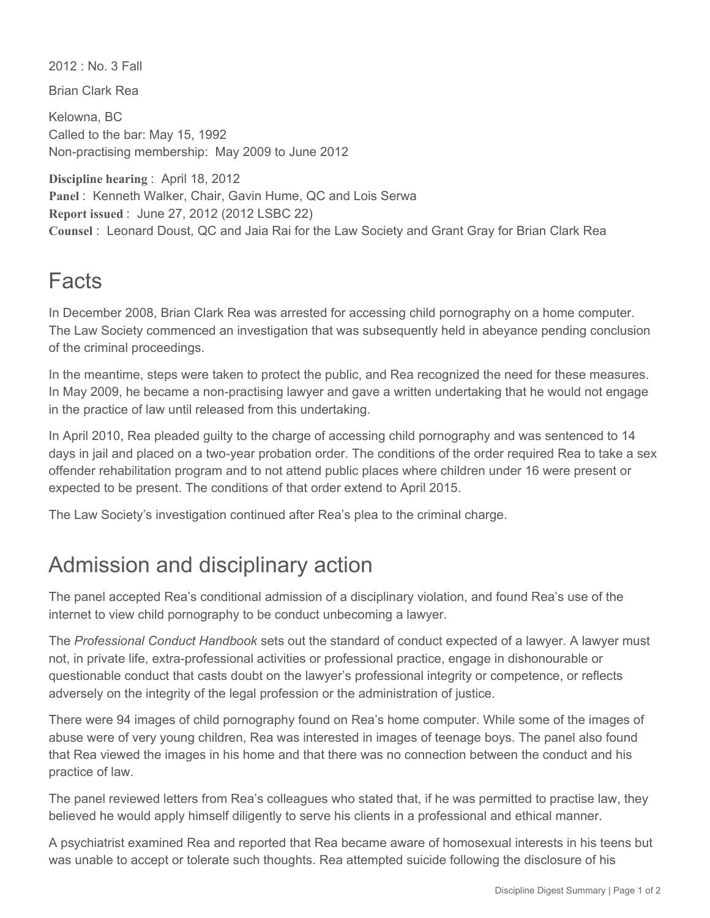2012 : No. 3 Fall

Brian Clark Rea

Kelowna, BC Called to the bar: May 15, 1992 Non-practising membership: May 2009 to June 2012

**Discipline hearing** : April 18, 2012 **Panel** : Kenneth Walker, Chair, Gavin Hume, QC and Lois Serwa **Report issued** : June 27, 2012 (2012 LSBC 22) **Counsel** : Leonard Doust, QC and Jaia Rai for the Law Society and Grant Gray for Brian Clark Rea

## Facts

In December 2008, Brian Clark Rea was arrested for accessing child pornography on a home computer. The Law Society commenced an investigation that was subsequently held in abeyance pending conclusion of the criminal proceedings.

In the meantime, steps were taken to protect the public, and Rea recognized the need for these measures. In May 2009, he became a non-practising lawyer and gave a written undertaking that he would not engage in the practice of law until released from this undertaking.

In April 2010, Rea pleaded guilty to the charge of accessing child pornography and was sentenced to 14 days in jail and placed on a two-year probation order. The conditions of the order required Rea to take a sex offender rehabilitation program and to not attend public places where children under 16 were present or expected to be present. The conditions of that order extend to April 2015.

The Law Society's investigation continued after Rea's plea to the criminal charge.

## Admission and disciplinary action

The panel accepted Rea's conditional admission of a disciplinary violation, and found Rea's use of the internet to view child pornography to be conduct unbecoming a lawyer.

The *Professional Conduct Handbook* sets out the standard of conduct expected of a lawyer. A lawyer must not, in private life, extra-professional activities or professional practice, engage in dishonourable or questionable conduct that casts doubt on the lawyer's professional integrity or competence, or reflects adversely on the integrity of the legal profession or the administration of justice.

There were 94 images of child pornography found on Rea's home computer. While some of the images of abuse were of very young children, Rea was interested in images of teenage boys. The panel also found that Rea viewed the images in his home and that there was no connection between the conduct and his practice of law.

The panel reviewed letters from Rea's colleagues who stated that, if he was permitted to practise law, they believed he would apply himself diligently to serve his clients in a professional and ethical manner.

A psychiatrist examined Rea and reported that Rea became aware of homosexual interests in his teens but was unable to accept or tolerate such thoughts. Rea attempted suicide following the disclosure of his